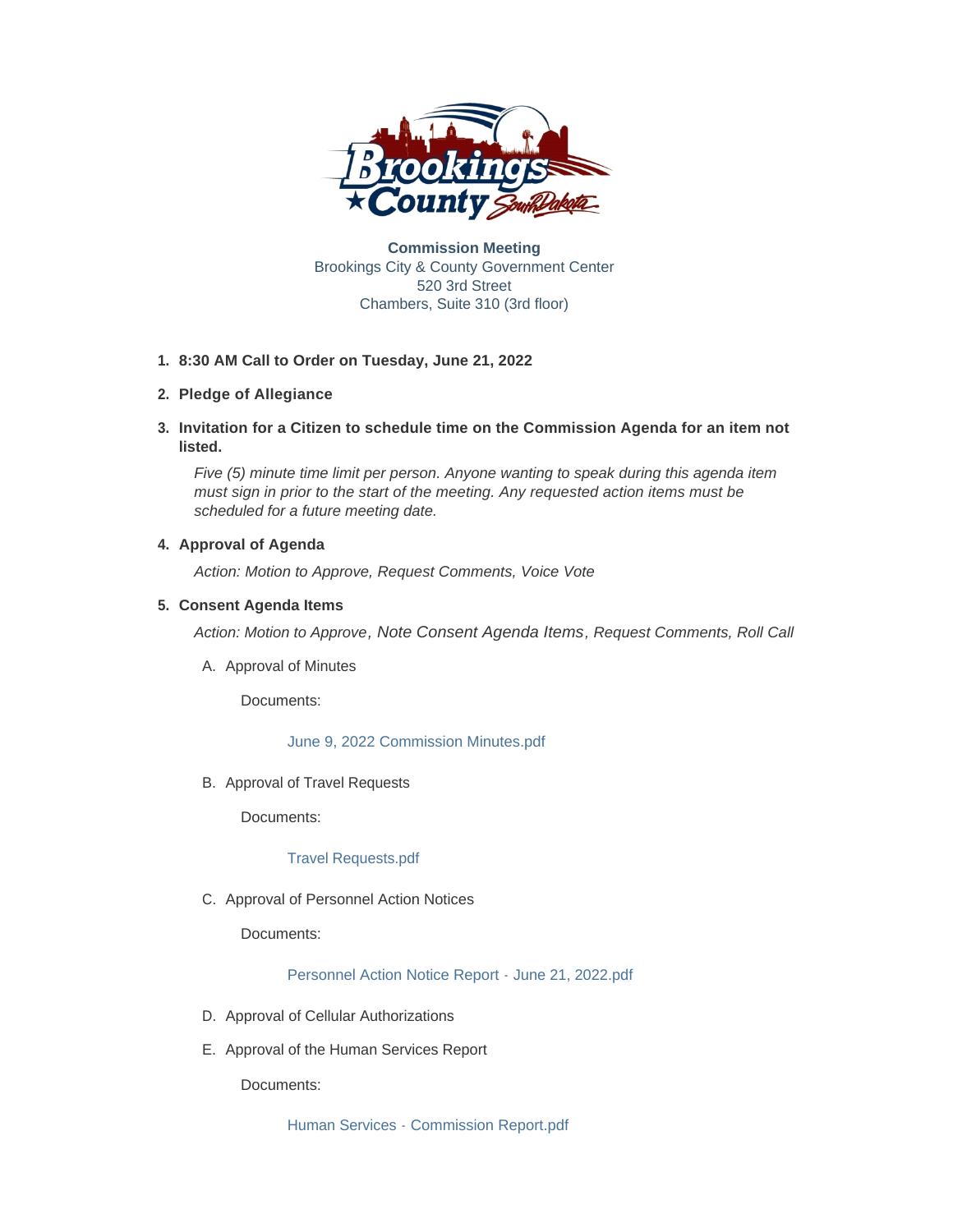

**Commission Meeting** Brookings City & County Government Center 520 3rd Street Chambers, Suite 310 (3rd floor)

## **8:30 AM Call to Order on Tuesday, June 21, 2022 1.**

# **Pledge of Allegiance 2.**

**Invitation for a Citizen to schedule time on the Commission Agenda for an item not 3. listed.**

*Five (5) minute time limit per person. Anyone wanting to speak during this agenda item must sign in prior to the start of the meeting. Any requested action items must be scheduled for a future meeting date.* 

# **4. Approval of Agenda**

*Action: Motion to Approve, Request Comments, Voice Vote* 

## **Consent Agenda Items 5.**

*Action: Motion to Approve, Note Consent Agenda Items, Request Comments, Roll Call*

A. Approval of Minutes

Documents:

[June 9, 2022 Commission Minutes.pdf](http://www.brookingscountysd.gov/AgendaCenter/ViewFile/Item/12441?fileID=10378)

B. Approval of Travel Requests

Documents:

## [Travel Requests.pdf](http://www.brookingscountysd.gov/AgendaCenter/ViewFile/Item/12452?fileID=10392)

C. Approval of Personnel Action Notices

Documents:

[Personnel Action Notice Report - June 21, 2022.pdf](http://www.brookingscountysd.gov/AgendaCenter/ViewFile/Item/12443?fileID=10395)

- D. Approval of Cellular Authorizations
- E. Approval of the Human Services Report

Documents:

[Human Services - Commission Report.pdf](http://www.brookingscountysd.gov/AgendaCenter/ViewFile/Item/12445?fileID=10385)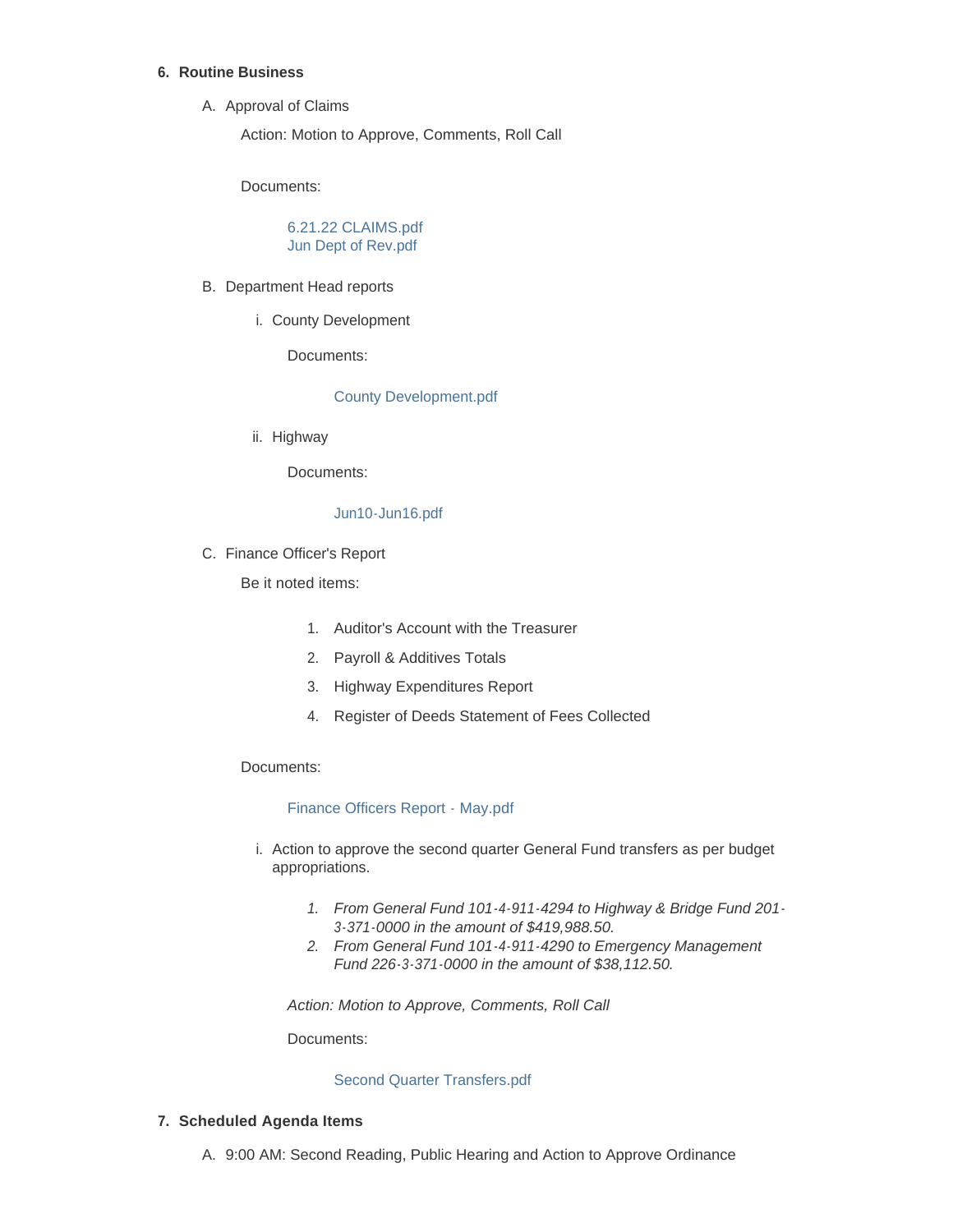## **Routine Business 6.**

A. Approval of Claims

Action: Motion to Approve, Comments, Roll Call

Documents:

[6.21.22 CLAIMS.pdf](http://www.brookingscountysd.gov/AgendaCenter/ViewFile/Item/12446?fileID=10383) [Jun Dept of Rev.pdf](http://www.brookingscountysd.gov/AgendaCenter/ViewFile/Item/12446?fileID=10384)

- B. Department Head reports
	- i. County Development

Documents:

## [County Development.pdf](http://www.brookingscountysd.gov/AgendaCenter/ViewFile/Item/12454?fileID=10393)

ii. Highway

Documents:

### [Jun10-Jun16.pdf](http://www.brookingscountysd.gov/AgendaCenter/ViewFile/Item/12458?fileID=10404)

C. Finance Officer's Report

Be it noted items:

- 1. Auditor's Account with the Treasurer
- 2. Payroll & Additives Totals
- 3. Highway Expenditures Report
- 4. Register of Deeds Statement of Fees Collected

Documents:

### [Finance Officers Report - May.pdf](http://www.brookingscountysd.gov/AgendaCenter/ViewFile/Item/12438?fileID=10379)

- i. Action to approve the second quarter General Fund transfers as per budget appropriations.
	- *1. From General Fund 101-4-911-4294 to Highway & Bridge Fund 201- 3-371-0000 in the amount of \$419,988.50.*
	- *2. From General Fund 101-4-911-4290 to Emergency Management Fund 226-3-371-0000 in the amount of \$38,112.50.*

*Action: Motion to Approve, Comments, Roll Call*

Documents:

### [Second Quarter Transfers.pdf](http://www.brookingscountysd.gov/AgendaCenter/ViewFile/Item/12439?fileID=10377)

## **Scheduled Agenda Items 7.**

A. 9:00 AM: Second Reading, Public Hearing and Action to Approve Ordinance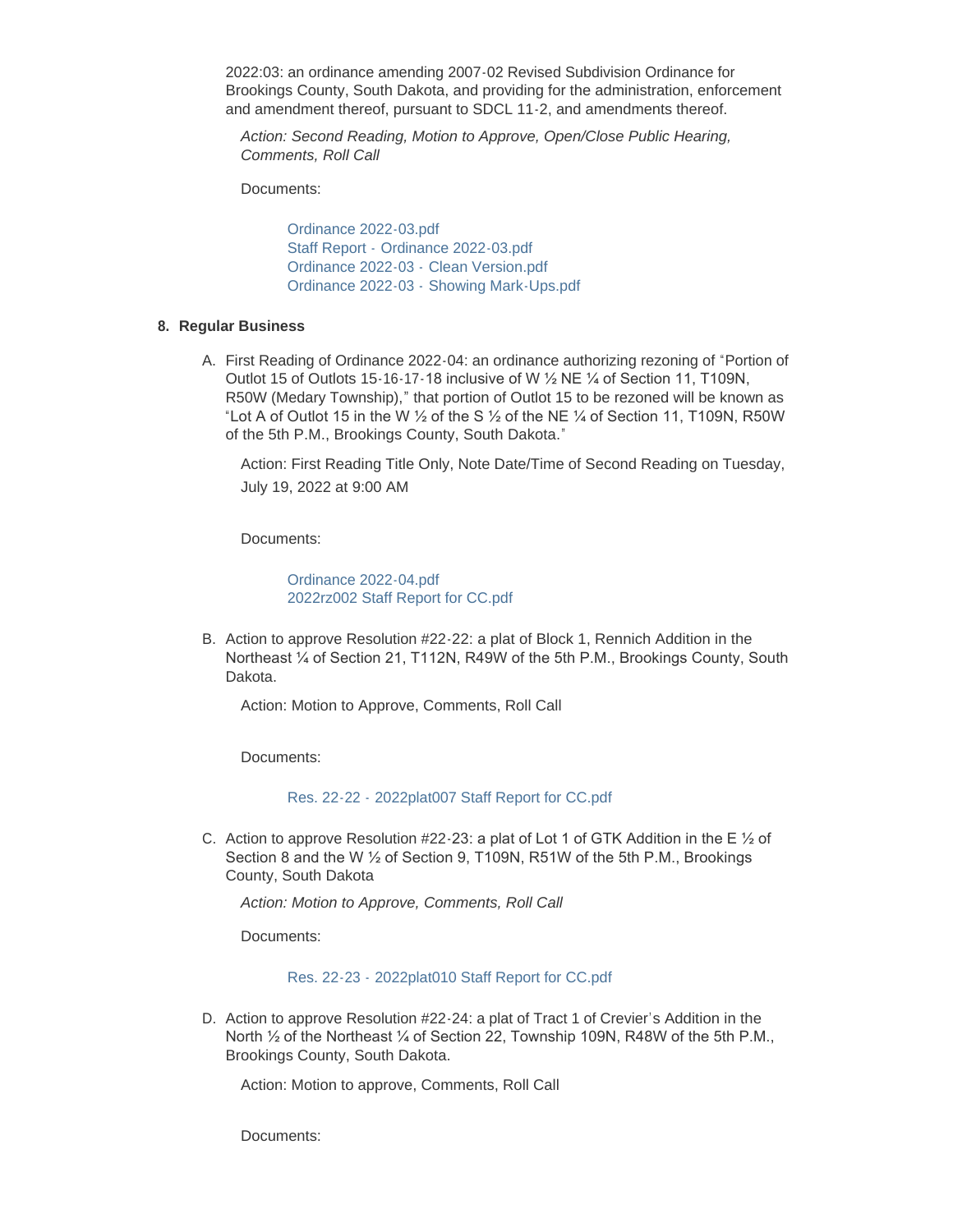2022:03: an ordinance amending 2007-02 Revised Subdivision Ordinance for Brookings County, South Dakota, and providing for the administration, enforcement and amendment thereof, pursuant to SDCL 11-2, and amendments thereof.

*Action: Second Reading, Motion to Approve, Open/Close Public Hearing, Comments, Roll Call*

Documents:

[Ordinance 2022-03.pdf](http://www.brookingscountysd.gov/AgendaCenter/ViewFile/Item/12434?fileID=10370) Staff Report - [Ordinance 2022-03.pdf](http://www.brookingscountysd.gov/AgendaCenter/ViewFile/Item/12434?fileID=10371) [Ordinance 2022-03 -](http://www.brookingscountysd.gov/AgendaCenter/ViewFile/Item/12434?fileID=10372) Clean Version.pdf Ordinance 2022-03 - [Showing Mark-Ups.pdf](http://www.brookingscountysd.gov/AgendaCenter/ViewFile/Item/12434?fileID=10373)

### **Regular Business 8.**

A. First Reading of Ordinance 2022-04: an ordinance authorizing rezoning of "Portion of Outlot 15 of Outlots 15-16-17-18 inclusive of W ½ NE ¼ of Section 11, T109N, R50W (Medary Township)," that portion of Outlot 15 to be rezoned will be known as "Lot A of Outlot 15 in the W  $\frac{1}{2}$  of the S  $\frac{1}{2}$  of the NE  $\frac{1}{4}$  of Section 11, T109N, R50W of the 5th P.M., Brookings County, South Dakota."

Action: First Reading Title Only, Note Date/Time of Second Reading on Tuesday, July 19, 2022 at 9:00 AM

Documents:

[Ordinance 2022-04.pdf](http://www.brookingscountysd.gov/AgendaCenter/ViewFile/Item/12451?fileID=10396) [2022rz002 Staff Report for CC.pdf](http://www.brookingscountysd.gov/AgendaCenter/ViewFile/Item/12451?fileID=10397)

B. Action to approve Resolution #22-22: a plat of Block 1, Rennich Addition in the Northeast ¼ of Section 21, T112N, R49W of the 5th P.M., Brookings County, South Dakota.

Action: Motion to Approve, Comments, Roll Call

Documents:

Res. 22-22 - [2022plat007 Staff Report for CC.pdf](http://www.brookingscountysd.gov/AgendaCenter/ViewFile/Item/12448?fileID=10387)

C. Action to approve Resolution #22-23: a plat of Lot 1 of GTK Addition in the E  $\frac{1}{2}$  of Section 8 and the W ½ of Section 9, T109N, R51W of the 5th P.M., Brookings County, South Dakota

*Action: Motion to Approve, Comments, Roll Call*

Documents:

Res. 22-23 - [2022plat010 Staff Report for CC.pdf](http://www.brookingscountysd.gov/AgendaCenter/ViewFile/Item/12449?fileID=10388)

D. Action to approve Resolution #22-24: a plat of Tract 1 of Crevier's Addition in the North <sup>1/2</sup> of the Northeast <sup>1/2</sup> of Section 22, Township 109N, R48W of the 5th P.M., Brookings County, South Dakota.

Action: Motion to approve, Comments, Roll Call

Documents: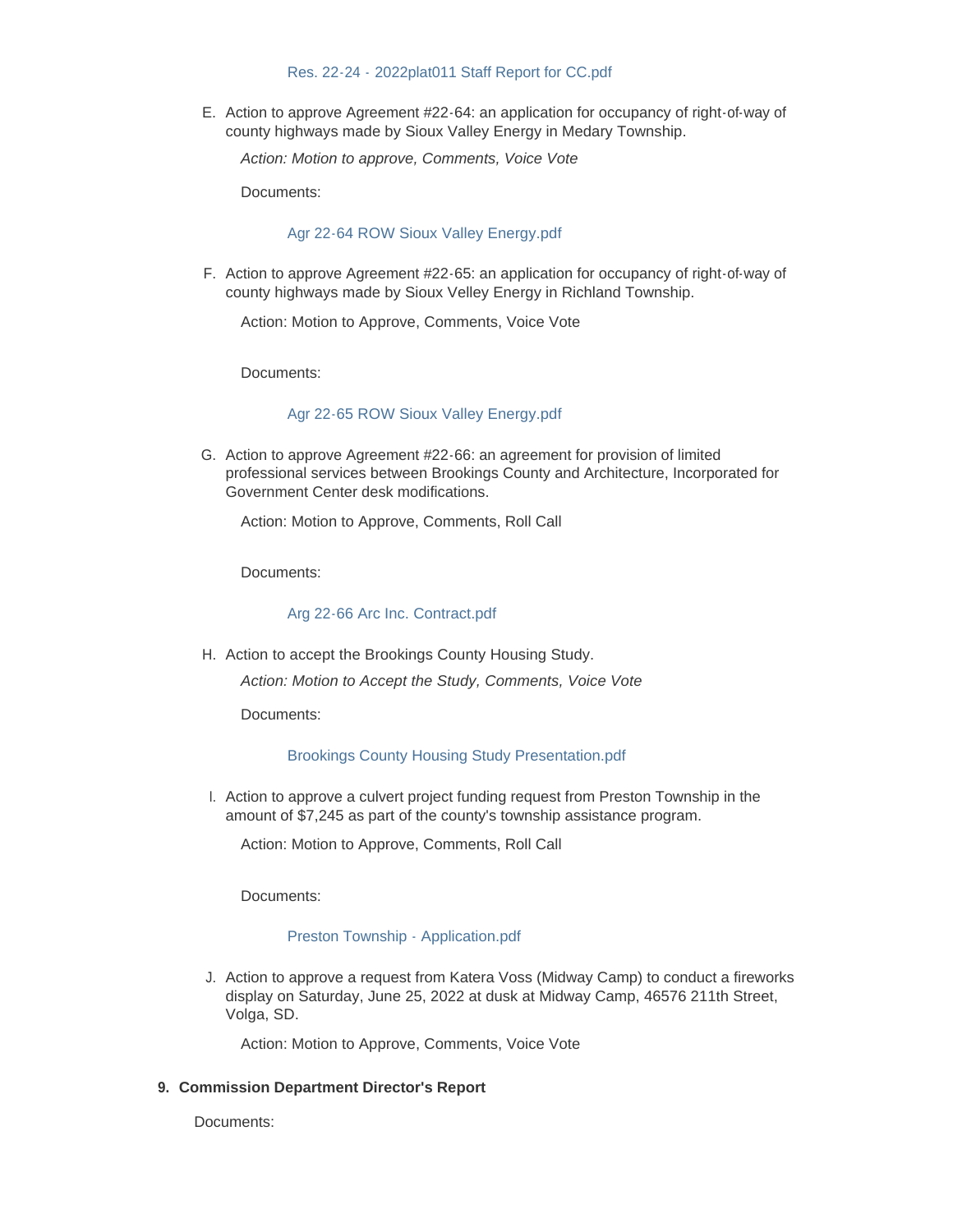#### Res. 22-24 - [2022plat011 Staff Report for CC.pdf](http://www.brookingscountysd.gov/AgendaCenter/ViewFile/Item/12450?fileID=10389)

E. Action to approve Agreement #22-64: an application for occupancy of right-of-way of county highways made by Sioux Valley Energy in Medary Township.

*Action: Motion to approve, Comments, Voice Vote*

Documents:

### [Agr 22-64 ROW Sioux Valley Energy.pdf](http://www.brookingscountysd.gov/AgendaCenter/ViewFile/Item/12435?fileID=10376)

F. Action to approve Agreement #22-65: an application for occupancy of right-of-way of county highways made by Sioux Velley Energy in Richland Township.

Action: Motion to Approve, Comments, Voice Vote

Documents:

#### [Agr 22-65 ROW Sioux Valley Energy.pdf](http://www.brookingscountysd.gov/AgendaCenter/ViewFile/Item/12447?fileID=10386)

G. Action to approve Agreement #22-66: an agreement for provision of limited professional services between Brookings County and Architecture, Incorporated for Government Center desk modifications.

Action: Motion to Approve, Comments, Roll Call

Documents:

# [Arg 22-66 Arc Inc. Contract.pdf](http://www.brookingscountysd.gov/AgendaCenter/ViewFile/Item/12455?fileID=10394)

H. Action to accept the Brookings County Housing Study.

*Action: Motion to Accept the Study, Comments, Voice Vote*

Documents:

#### [Brookings County Housing Study Presentation.pdf](http://www.brookingscountysd.gov/AgendaCenter/ViewFile/Item/12436?fileID=10374)

I. Action to approve a culvert project funding request from Preston Township in the amount of \$7,245 as part of the county's township assistance program.

Action: Motion to Approve, Comments, Roll Call

Documents:

#### [Preston Township - Application.pdf](http://www.brookingscountysd.gov/AgendaCenter/ViewFile/Item/12437?fileID=10375)

J. Action to approve a request from Katera Voss (Midway Camp) to conduct a fireworks display on Saturday, June 25, 2022 at dusk at Midway Camp, 46576 211th Street, Volga, SD.

Action: Motion to Approve, Comments, Voice Vote

#### **Commission Department Director's Report 9.**

Documents: